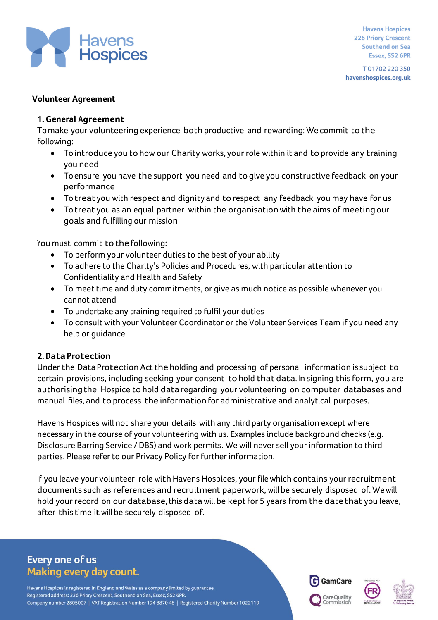

**Havens Hospices 226 Priory Crescent Southend on Sea** Essex, SS2 6PR

T01702220350 havenshospices.org.uk

### **Volunteer Agreement**

#### **1. General Agreement**

To make your volunteering experience both productive and rewarding: We commit to the following:

- Tointroduce you to how our Charity works, your role within it and to provide any training you need
- Toensure you have the support you need and togive you constructive feedback on your performance
- Totreat you with respect and dignity and to respect any feedback you may have for us
- Totreat you as an equal partner within the organisationwith the aims of meeting our goals and fulfilling our mission

You must commit to the following:

- To perform your volunteer duties to the best of your ability
- To adhere to the Charity's Policies and Procedures, with particular attention to Confidentiality and Health and Safety
- To meet time and duty commitments, or give as much notice as possible whenever you cannot attend
- To undertake any training required to fulfil your duties
- To consult with your Volunteer Coordinator or the Volunteer Services Team if you need any help or guidance

### **2. Data Protection**

Under the Data Protection Act the holding and processing of personal information is subject to certain provisions, including seeking your consent to hold that data. In signing this form, you are authorising the Hospice to hold data regarding your volunteering on computer databases and manual files, and to process the information for administrative and analytical purposes.

Havens Hospices will not share your details with any third party organisation except where necessary in the course of your volunteering with us. Examples include background checks (e.g. Disclosure Barring Service / DBS) and work permits. We will never sell your information to third parties. Please refer to our Privacy Policy for further information.

If you leave your volunteer role with Havens Hospices, your file which contains your recruitment documents such as references and recruitment paperwork, will be securely disposed of. Wewill hold your record on our database, this data will be kept for 5 years from the date that you leave, after this time itwill be securely disposed of.

# **Every one of us Making every day count.**

Havens Hospices is registered in England and Wales as a company limited by guarantee. Registered address: 226 Priory Crescent, Southend on Sea, Essex, SS2 6PR. Company number 2805007 | VAT Registration Number 194 8870 48 | Registered Charity Number 1022119





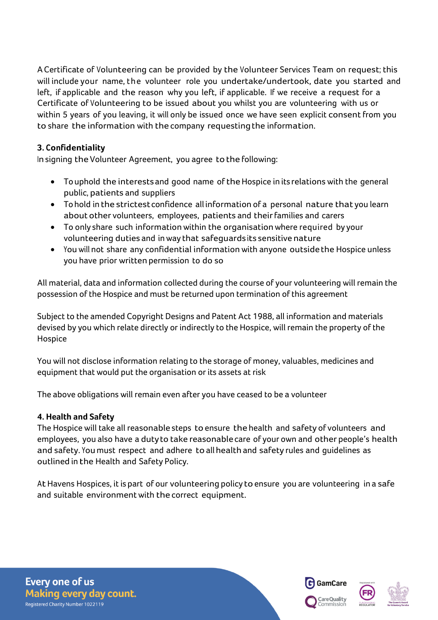ACertificate of Volunteering can be provided by the Volunteer Services Team on request; this will include your name, the volunteer role you undertake/undertook, date you started and left, if applicable and the reason why you left, if applicable. If we receive a request for a Certificate of Volunteering to be issued about you whilst you are volunteering with us or within 5 years of you leaving, it will only be issued once we have seen explicit consent from you to share the information with the company requestingthe information.

# **3. Confidentiality**

In signing the Volunteer Agreement, you agree to the following:

- Touphold the interests and good name of the Hospice in its relations with the general public, patients and suppliers
- Tohold in the strictestconfidence all information of a personal nature that you learn about other volunteers, employees, patients and their families and carers
- To only share such information within the organisation where required by your volunteering duties and inway that safeguardsits sensitive nature
- Youwill not share any confidential informationwith anyone outsidethe Hospice unless you have prior written permission to do so

All material, data and information collected during the course of your volunteering will remain the possession of the Hospice and must be returned upon termination of this agreement

Subject to the amended Copyright Designs and Patent Act 1988, all information and materials devised by you which relate directly or indirectly to the Hospice, will remain the property of the Hospice

You will not disclose information relating to the storage of money, valuables, medicines and equipment that would put the organisation or its assets at risk

The above obligations will remain even after you have ceased to be a volunteer

### **4. Health and Safety**

The Hospice will take all reasonable steps to ensure the health and safety of volunteers and employees, you also have a duty to take reasonablecare of your own and other people's health and safety. You must respect and adhere to allhealth and safety rules and guidelines as outlined in the Health and Safety Policy.

At Havens Hospices, it is part of our volunteering policy to ensure you are volunteering in a safe and suitable environment with the correct equipment.

**Every one of us Making every day count.** Registered Charity Number 1022119